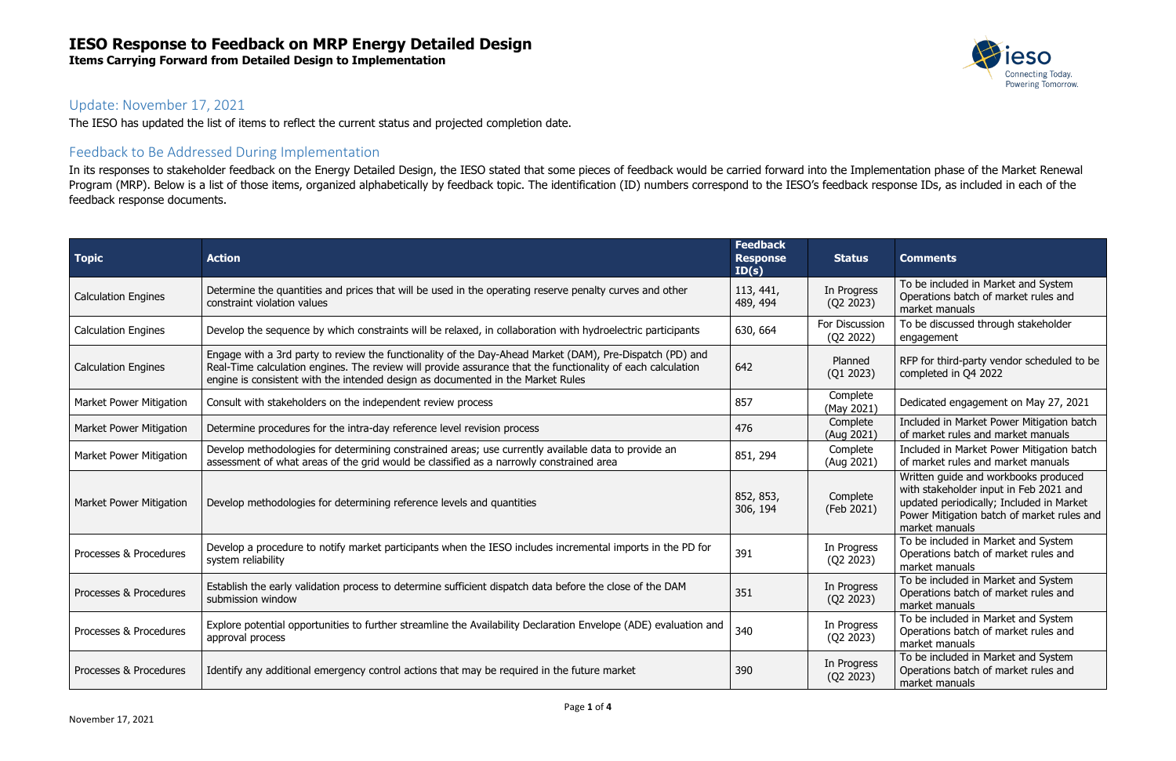**Items Carrying Forward from Detailed Design to Implementation**



#### Update: November 17, 2021

The IESO has updated the list of items to reflect the current status and projected completion date.

#### Feedback to Be Addressed During Implementation

In its responses to stakeholder feedback on the Energy Detailed Design, the IESO stated that some pieces of feedback would be carried forward into the Implementation phase of the Market Renewal Program (MRP). Below is a list of those items, organized alphabetically by feedback topic. The identification (ID) numbers correspond to the IESO's feedback response IDs, as included in each of the feedback response documents.

| <b>Topic</b>                   | <b>Action</b>                                                                                                                                                                                                                                                                                              | <b>Feedback</b><br><b>Response</b><br>ID(s) | <b>Status</b>               | <b>Comments</b>                                                                                                                                                                            |
|--------------------------------|------------------------------------------------------------------------------------------------------------------------------------------------------------------------------------------------------------------------------------------------------------------------------------------------------------|---------------------------------------------|-----------------------------|--------------------------------------------------------------------------------------------------------------------------------------------------------------------------------------------|
| <b>Calculation Engines</b>     | Determine the quantities and prices that will be used in the operating reserve penalty curves and other<br>constraint violation values                                                                                                                                                                     | 113, 441,<br>489, 494                       | In Progress<br>(Q2 2023)    | To be included in Market and System<br>Operations batch of market rules and<br>market manuals                                                                                              |
| <b>Calculation Engines</b>     | Develop the sequence by which constraints will be relaxed, in collaboration with hydroelectric participants                                                                                                                                                                                                | 630, 664                                    | For Discussion<br>(Q2 2022) | To be discussed through stakeholder<br>engagement                                                                                                                                          |
| <b>Calculation Engines</b>     | Engage with a 3rd party to review the functionality of the Day-Ahead Market (DAM), Pre-Dispatch (PD) and<br>Real-Time calculation engines. The review will provide assurance that the functionality of each calculation<br>engine is consistent with the intended design as documented in the Market Rules | 642                                         | Planned<br>(Q1 2023)        | RFP for third-party vendor scheduled to be<br>completed in Q4 2022                                                                                                                         |
| <b>Market Power Mitigation</b> | Consult with stakeholders on the independent review process                                                                                                                                                                                                                                                | 857                                         | Complete<br>(May 2021)      | Dedicated engagement on May 27, 2021                                                                                                                                                       |
| Market Power Mitigation        | Determine procedures for the intra-day reference level revision process                                                                                                                                                                                                                                    | 476                                         | Complete<br>(Aug 2021)      | Included in Market Power Mitigation batch<br>of market rules and market manuals                                                                                                            |
| Market Power Mitigation        | Develop methodologies for determining constrained areas; use currently available data to provide an<br>assessment of what areas of the grid would be classified as a narrowly constrained area                                                                                                             | 851, 294                                    | Complete<br>(Aug 2021)      | Included in Market Power Mitigation batch<br>of market rules and market manuals                                                                                                            |
| <b>Market Power Mitigation</b> | Develop methodologies for determining reference levels and quantities                                                                                                                                                                                                                                      | 852, 853,<br>306, 194                       | Complete<br>(Feb 2021)      | Written guide and workbooks produced<br>with stakeholder input in Feb 2021 and<br>updated periodically; Included in Market<br>Power Mitigation batch of market rules and<br>market manuals |
| Processes & Procedures         | Develop a procedure to notify market participants when the IESO includes incremental imports in the PD for<br>system reliability                                                                                                                                                                           | 391                                         | In Progress<br>(Q2 2023)    | To be included in Market and System<br>Operations batch of market rules and<br>market manuals                                                                                              |
| Processes & Procedures         | Establish the early validation process to determine sufficient dispatch data before the close of the DAM<br>submission window                                                                                                                                                                              | 351                                         | In Progress<br>(Q2 2023)    | To be included in Market and System<br>Operations batch of market rules and<br>market manuals                                                                                              |
| Processes & Procedures         | Explore potential opportunities to further streamline the Availability Declaration Envelope (ADE) evaluation and<br>approval process                                                                                                                                                                       | 340                                         | In Progress<br>(Q2 2023)    | To be included in Market and System<br>Operations batch of market rules and<br>market manuals                                                                                              |
| Processes & Procedures         | Identify any additional emergency control actions that may be required in the future market                                                                                                                                                                                                                | 390                                         | In Progress<br>(Q2 2023)    | To be included in Market and System<br>Operations batch of market rules and<br>market manuals                                                                                              |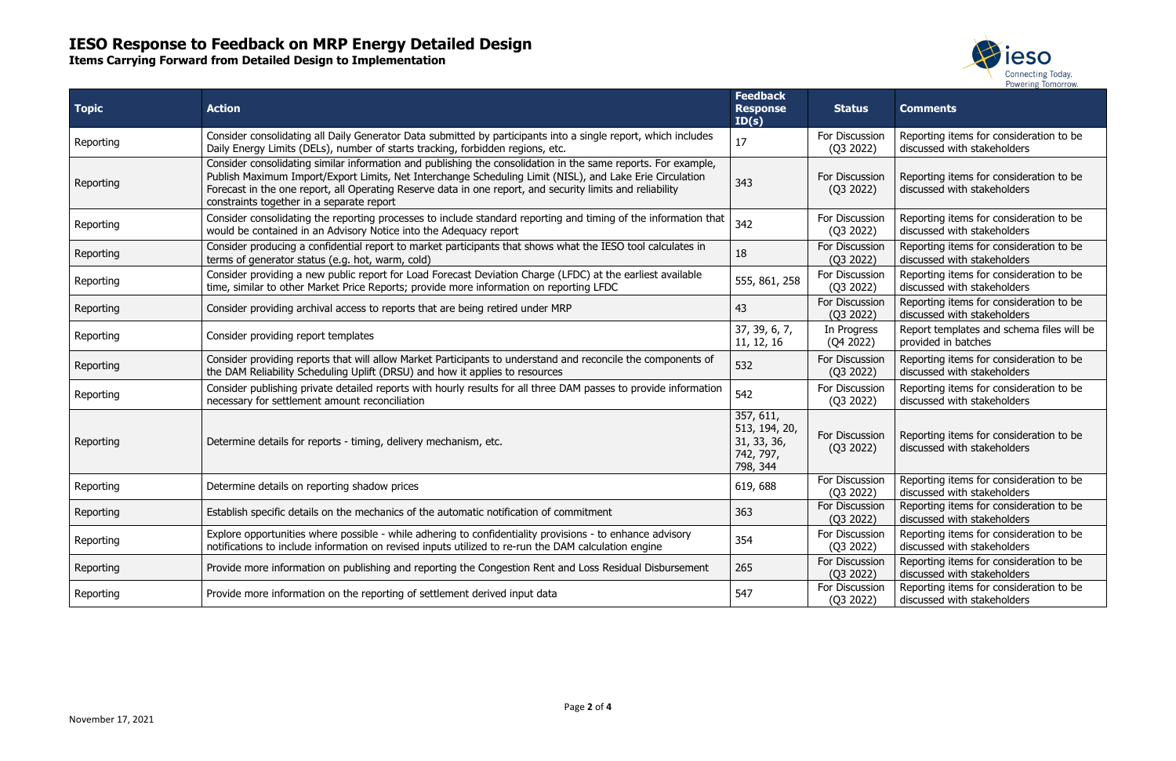**Items Carrying Forward from Detailed Design to Implementation**



| <b>Topic</b> | <b>Action</b>                                                                                                                                                                                                                                                                                                                                                                       | <b>Feedback</b><br><b>Response</b><br>ID(s)                        | <b>Status</b>               | <b>Comments</b>                                                        |
|--------------|-------------------------------------------------------------------------------------------------------------------------------------------------------------------------------------------------------------------------------------------------------------------------------------------------------------------------------------------------------------------------------------|--------------------------------------------------------------------|-----------------------------|------------------------------------------------------------------------|
| Reporting    | Consider consolidating all Daily Generator Data submitted by participants into a single report, which includes<br>Daily Energy Limits (DELs), number of starts tracking, forbidden regions, etc.                                                                                                                                                                                    | 17                                                                 | For Discussion<br>(Q3 2022) | Reporting items for consideration to be<br>discussed with stakeholders |
| Reporting    | Consider consolidating similar information and publishing the consolidation in the same reports. For example,<br>Publish Maximum Import/Export Limits, Net Interchange Scheduling Limit (NISL), and Lake Erie Circulation<br>Forecast in the one report, all Operating Reserve data in one report, and security limits and reliability<br>constraints together in a separate report | 343                                                                | For Discussion<br>(Q3 2022) | Reporting items for consideration to be<br>discussed with stakeholders |
| Reporting    | Consider consolidating the reporting processes to include standard reporting and timing of the information that<br>would be contained in an Advisory Notice into the Adequacy report                                                                                                                                                                                                | 342                                                                | For Discussion<br>(Q3 2022) | Reporting items for consideration to be<br>discussed with stakeholders |
| Reporting    | Consider producing a confidential report to market participants that shows what the IESO tool calculates in<br>terms of generator status (e.g. hot, warm, cold)                                                                                                                                                                                                                     | 18                                                                 | For Discussion<br>(Q3 2022) | Reporting items for consideration to be<br>discussed with stakeholders |
| Reporting    | Consider providing a new public report for Load Forecast Deviation Charge (LFDC) at the earliest available<br>time, similar to other Market Price Reports; provide more information on reporting LFDC                                                                                                                                                                               | 555, 861, 258                                                      | For Discussion<br>(Q3 2022) | Reporting items for consideration to be<br>discussed with stakeholders |
| Reporting    | Consider providing archival access to reports that are being retired under MRP                                                                                                                                                                                                                                                                                                      | 43                                                                 | For Discussion<br>(Q3 2022) | Reporting items for consideration to be<br>discussed with stakeholders |
| Reporting    | Consider providing report templates                                                                                                                                                                                                                                                                                                                                                 | 37, 39, 6, 7,<br>11, 12, 16                                        | In Progress<br>(Q4 2022)    | Report templates and schema files will be<br>provided in batches       |
| Reporting    | Consider providing reports that will allow Market Participants to understand and reconcile the components of<br>the DAM Reliability Scheduling Uplift (DRSU) and how it applies to resources                                                                                                                                                                                        | 532                                                                | For Discussion<br>(Q3 2022) | Reporting items for consideration to be<br>discussed with stakeholders |
| Reporting    | Consider publishing private detailed reports with hourly results for all three DAM passes to provide information<br>necessary for settlement amount reconciliation                                                                                                                                                                                                                  | 542                                                                | For Discussion<br>(Q3 2022) | Reporting items for consideration to be<br>discussed with stakeholders |
| Reporting    | Determine details for reports - timing, delivery mechanism, etc.                                                                                                                                                                                                                                                                                                                    | 357, 611,<br>513, 194, 20,<br>31, 33, 36,<br>742, 797,<br>798, 344 | For Discussion<br>(Q3 2022) | Reporting items for consideration to be<br>discussed with stakeholders |
| Reporting    | Determine details on reporting shadow prices                                                                                                                                                                                                                                                                                                                                        | 619, 688                                                           | For Discussion<br>(Q3 2022) | Reporting items for consideration to be<br>discussed with stakeholders |
| Reporting    | Establish specific details on the mechanics of the automatic notification of commitment                                                                                                                                                                                                                                                                                             | 363                                                                | For Discussion<br>(Q3 2022) | Reporting items for consideration to be<br>discussed with stakeholders |
| Reporting    | Explore opportunities where possible - while adhering to confidentiality provisions - to enhance advisory<br>notifications to include information on revised inputs utilized to re-run the DAM calculation engine                                                                                                                                                                   | 354                                                                | For Discussion<br>(Q3 2022) | Reporting items for consideration to be<br>discussed with stakeholders |
| Reporting    | Provide more information on publishing and reporting the Congestion Rent and Loss Residual Disbursement                                                                                                                                                                                                                                                                             | 265                                                                | For Discussion<br>(Q3 2022) | Reporting items for consideration to be<br>discussed with stakeholders |
| Reporting    | Provide more information on the reporting of settlement derived input data                                                                                                                                                                                                                                                                                                          | 547                                                                | For Discussion<br>(Q3 2022) | Reporting items for consideration to be<br>discussed with stakeholders |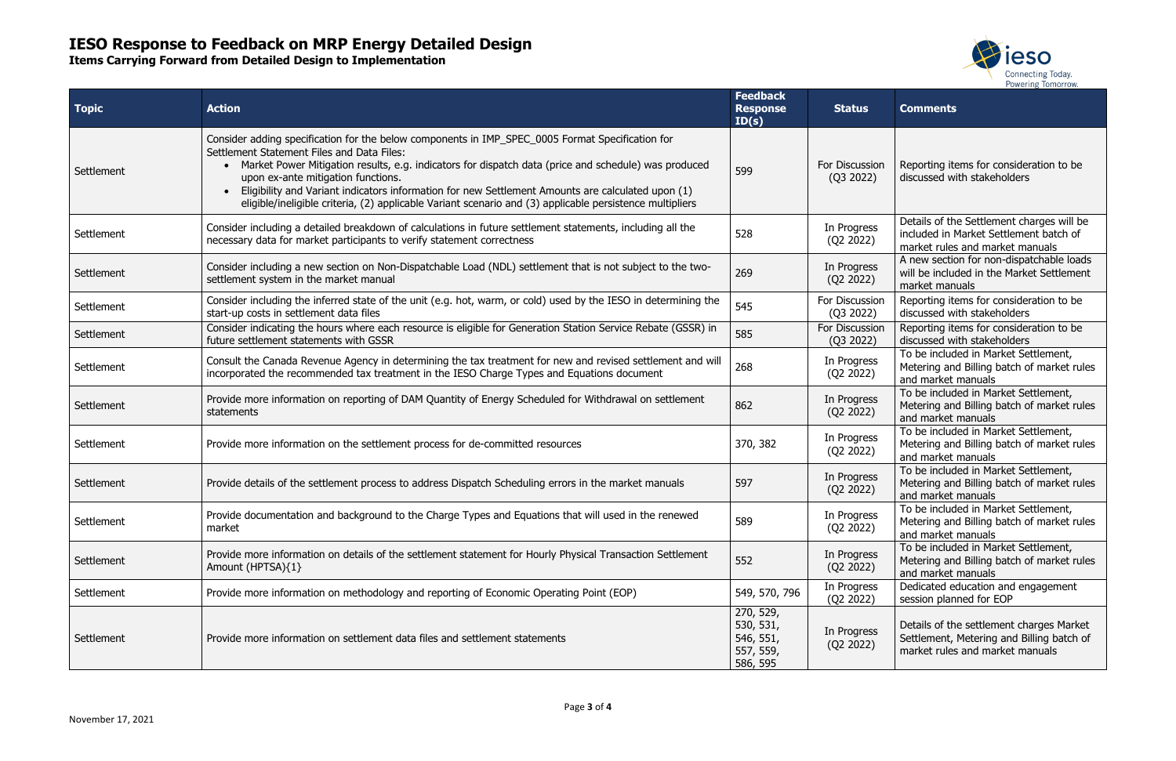**Items Carrying Forward from Detailed Design to Implementation**



| <b>Topic</b> | <b>Action</b>                                                                                                                                                                                                                                                                                                                                                                                                                                                                                                 | <b>Feedback</b><br><b>Response</b><br>ID(s)                  | <b>Status</b>               | <b>Comments</b>                                                                                                          |
|--------------|---------------------------------------------------------------------------------------------------------------------------------------------------------------------------------------------------------------------------------------------------------------------------------------------------------------------------------------------------------------------------------------------------------------------------------------------------------------------------------------------------------------|--------------------------------------------------------------|-----------------------------|--------------------------------------------------------------------------------------------------------------------------|
| Settlement   | Consider adding specification for the below components in IMP_SPEC_0005 Format Specification for<br>Settlement Statement Files and Data Files:<br>Market Power Mitigation results, e.g. indicators for dispatch data (price and schedule) was produced<br>upon ex-ante mitigation functions.<br>Eligibility and Variant indicators information for new Settlement Amounts are calculated upon (1)<br>eligible/ineligible criteria, (2) applicable Variant scenario and (3) applicable persistence multipliers | 599                                                          | For Discussion<br>(Q3 2022) | Reporting items for consideration to be<br>discussed with stakeholders                                                   |
| Settlement   | Consider including a detailed breakdown of calculations in future settlement statements, including all the<br>necessary data for market participants to verify statement correctness                                                                                                                                                                                                                                                                                                                          | 528                                                          | In Progress<br>(Q2 2022)    | Details of the Settlement charges will be<br>included in Market Settlement batch of<br>market rules and market manuals   |
| Settlement   | Consider including a new section on Non-Dispatchable Load (NDL) settlement that is not subject to the two-<br>settlement system in the market manual                                                                                                                                                                                                                                                                                                                                                          | 269                                                          | In Progress<br>(Q2 2022)    | A new section for non-dispatchable loads<br>will be included in the Market Settlement<br>market manuals                  |
| Settlement   | Consider including the inferred state of the unit (e.g. hot, warm, or cold) used by the IESO in determining the<br>start-up costs in settlement data files                                                                                                                                                                                                                                                                                                                                                    | 545                                                          | For Discussion<br>(Q3 2022) | Reporting items for consideration to be<br>discussed with stakeholders                                                   |
| Settlement   | Consider indicating the hours where each resource is eligible for Generation Station Service Rebate (GSSR) in<br>future settlement statements with GSSR                                                                                                                                                                                                                                                                                                                                                       | 585                                                          | For Discussion<br>(Q3 2022) | Reporting items for consideration to be<br>discussed with stakeholders                                                   |
| Settlement   | Consult the Canada Revenue Agency in determining the tax treatment for new and revised settlement and will<br>incorporated the recommended tax treatment in the IESO Charge Types and Equations document                                                                                                                                                                                                                                                                                                      | 268                                                          | In Progress<br>(Q2 2022)    | To be included in Market Settlement,<br>Metering and Billing batch of market rules<br>and market manuals                 |
| Settlement   | Provide more information on reporting of DAM Quantity of Energy Scheduled for Withdrawal on settlement<br>statements                                                                                                                                                                                                                                                                                                                                                                                          | 862                                                          | In Progress<br>(Q2 2022)    | To be included in Market Settlement,<br>Metering and Billing batch of market rules<br>and market manuals                 |
| Settlement   | Provide more information on the settlement process for de-committed resources                                                                                                                                                                                                                                                                                                                                                                                                                                 | 370, 382                                                     | In Progress<br>(Q2 2022)    | To be included in Market Settlement,<br>Metering and Billing batch of market rules<br>and market manuals                 |
| Settlement   | Provide details of the settlement process to address Dispatch Scheduling errors in the market manuals                                                                                                                                                                                                                                                                                                                                                                                                         | 597                                                          | In Progress<br>(Q2 2022)    | To be included in Market Settlement,<br>Metering and Billing batch of market rules<br>and market manuals                 |
| Settlement   | Provide documentation and background to the Charge Types and Equations that will used in the renewed<br>market                                                                                                                                                                                                                                                                                                                                                                                                | 589                                                          | In Progress<br>(Q2 2022)    | To be included in Market Settlement,<br>Metering and Billing batch of market rules<br>and market manuals                 |
| Settlement   | Provide more information on details of the settlement statement for Hourly Physical Transaction Settlement<br>Amount (HPTSA){1}                                                                                                                                                                                                                                                                                                                                                                               | 552                                                          | In Progress<br>(Q2 2022)    | To be included in Market Settlement,<br>Metering and Billing batch of market rules<br>and market manuals                 |
| Settlement   | Provide more information on methodology and reporting of Economic Operating Point (EOP)                                                                                                                                                                                                                                                                                                                                                                                                                       | 549, 570, 796                                                | In Progress<br>(Q2 2022)    | Dedicated education and engagement<br>session planned for EOP                                                            |
| Settlement   | Provide more information on settlement data files and settlement statements                                                                                                                                                                                                                                                                                                                                                                                                                                   | 270, 529,<br>530, 531,<br>546, 551,<br>557, 559,<br>586, 595 | In Progress<br>(Q2 2022)    | Details of the settlement charges Market<br>Settlement, Metering and Billing batch of<br>market rules and market manuals |